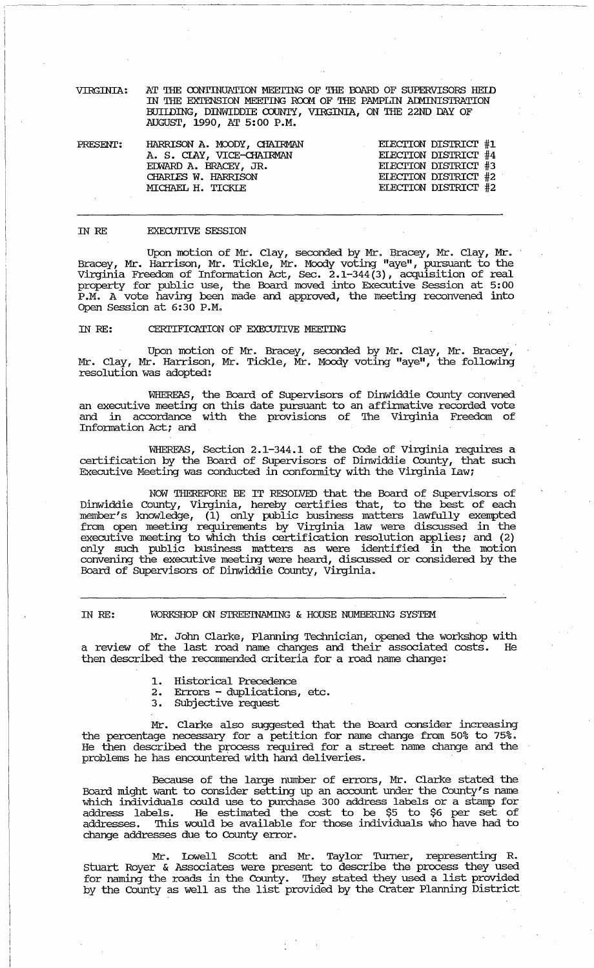VIRGINIA: AT THE CONTlliUATION MEEl'lNG OF THE OOARD OF SUPERVISORS HElD IN THE EXTENSION MEETING ROOM OF THE PAMPLIN ADMINISTRATION BUIIDING, DINWIDDIE COUNTY, VIRGINIA, ON THE 22ND DAY OF AUGUST, 1990, AT 5:00 P.M.

| PRESENT: | HARRISON A. MOODY, CHAIRMAN | ELECTION DISTRICT #1 |
|----------|-----------------------------|----------------------|
|          | A. S. CIAY, VICE-CHAIRMAN   | ELECTION DISTRICT #4 |
|          | EDWARD A. BRACEY, JR.       | ELECTION DISTRICT #3 |
|          | CHARLES W. HARRISON         | ELECTION DISTRICT #2 |
|          | MICHAEL H. TICKLE           | ELECTION DISTRICT #2 |
|          |                             |                      |

#### IN RE EXECUTIVE SESSION

Upon motion of Mr. Clay, seconded by Mr. Bracey, Mr. Clay, Mr. Bracey, Mr. Harrison, Mr. Tickle, Mr. Moody voting "aye", pursuant to the Virginia Freedom of Infonnation Act, Sec. 2.1-344(3), acquisition of real property for public use, the Board moved into Executive Session at 5:00  $\tilde{P.M.}$  A vote having been made and approved, the meeting reconvened into Open Session at 6:30 P.M.

#### IN RE: CERITFICATION OF EXECUTIVE MEETING

Upon motion of Mr. Bracey, seconded by Mr. Clay, Mr. Bracey, Mr. Clay, Mr. Harrison, Mr. Tickle, Mr. Moody voting "aye", the following resolution was adopted:

WHEREAS, the Board of Supervisors of Dinwiddie County convened an executive meeting on this date pursuant to an affinnative recorded vote and in accordance with the provisions of 'Ihe Virginia Freedom of Information Act; and

WHEREAS, Section 2.1-344.1 of the Code of Virginia requires a certification by the Board of Supervisors of Dinwiddie County, that such Executive Meeting was conducted in conformity with the Virginia law;

NOW THEREFORE BE IT RESOLVED that the Board of SUpervisors of Dinwiddie County, Virginia, hereby certifies that, to the best of each member's knowledge, (1) only public business matters lawfully exempted from open meeting requirements by Virginia law were discussed in the executive meeting to which this certification resolution applies; and (2) only such public business matters as were identified in the motion convening the executive meeting were heard, discussed or considered by the Board of Supervisors of Dinwiddie County, Virginia.

### IN RE: WORKSHOP ON STREETNAMING & HOUSE NUMBERING SYSTEM

Mr. John Clarke, Planning Technician, opened the workshop with<br>I the last road name changes and their associated costs. He a review of the last road name changes and their associated costs. then described the recommended criteria for a road name change:

- 1. Historical Precedence
- 2. Errors duplications, etc.
- 3. Subjective request

Mr. Clarke also suggested that the Board consider increasing the percentage necessary for a petition for name change from 50% to 75%. He then described the process required for a street name change and the problems he has encountered with hand deliveries. .

Because of the large number of errors, Mr. Clarke stated the Board might want to consider setting up an account under the County's name which individuals could use to purchase 300 address labels or a stamp for address labels. He estimated the cost to be \$5 to \$6 per set of addresses. 'Ihis would be available for those individuals who have had to addresses. This would be available<br>change addresses due to County error.

Mr. Lowell Scott and Mr. Taylor Turner, representing R. stuart Royer & Associates were present to describe the process they used for naming the roads in the County. 'Ihey stated they used a list provided by the County as well as the list provided by the Crater Planning District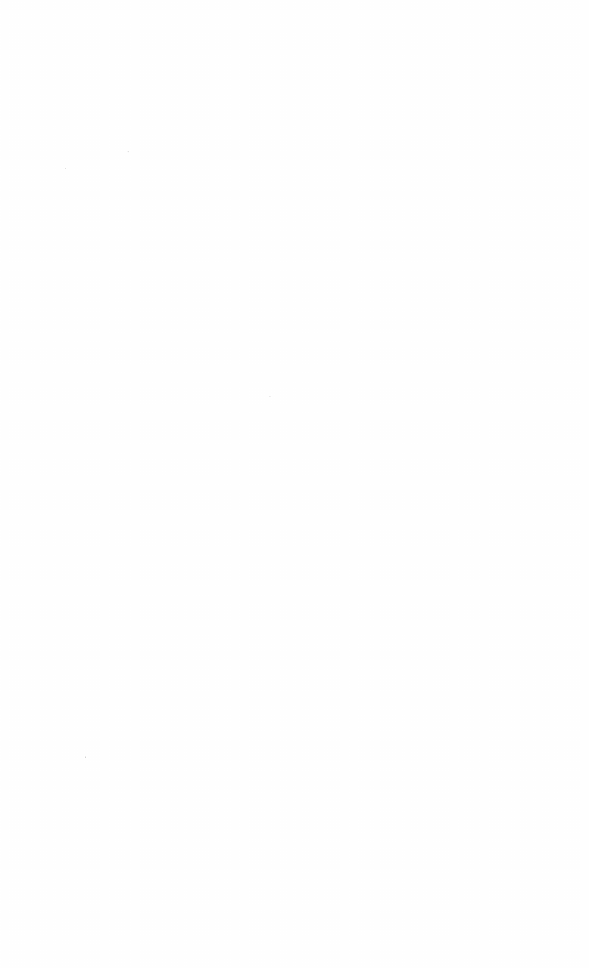$\label{eq:2.1} \frac{1}{\sqrt{2\pi}}\int_{0}^{\infty}\frac{1}{\sqrt{2\pi}}\left(\frac{1}{\sqrt{2\pi}}\right)^{2\alpha} \frac{1}{\sqrt{2\pi}}\int_{0}^{\infty}\frac{1}{\sqrt{2\pi}}\frac{1}{\sqrt{2\pi}}\frac{1}{\sqrt{2\pi}}\frac{1}{\sqrt{2\pi}}\frac{1}{\sqrt{2\pi}}\frac{1}{\sqrt{2\pi}}\frac{1}{\sqrt{2\pi}}\frac{1}{\sqrt{2\pi}}\frac{1}{\sqrt{2\pi}}\frac{1}{\sqrt{2\pi}}\frac{1}{\sqrt{2\pi}}\frac{$ 

 $\label{eq:2.1} \frac{1}{\sqrt{2}}\left(\frac{1}{\sqrt{2}}\right)^{2} \left(\frac{1}{\sqrt{2}}\right)^{2} \left(\frac{1}{\sqrt{2}}\right)^{2} \left(\frac{1}{\sqrt{2}}\right)^{2} \left(\frac{1}{\sqrt{2}}\right)^{2} \left(\frac{1}{\sqrt{2}}\right)^{2} \left(\frac{1}{\sqrt{2}}\right)^{2} \left(\frac{1}{\sqrt{2}}\right)^{2} \left(\frac{1}{\sqrt{2}}\right)^{2} \left(\frac{1}{\sqrt{2}}\right)^{2} \left(\frac{1}{\sqrt{2}}\right)^{2} \left(\$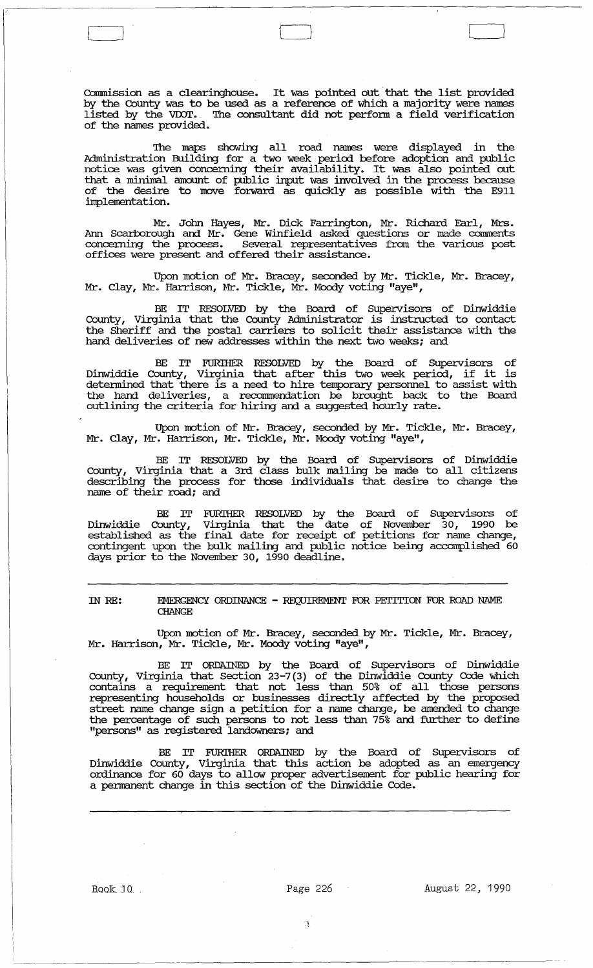Commission as a clearinghouse. It was pointed out that the list provided by the County was to be used as a reference of which a majority were names listed by the VDOT. The consultant did not perform a field verification of the names provided.

The maps showing all road names were displayed in the Administration Building for a two week period before adoption and public notice was given concerning their availability. It was also pointed out that a minimal amount of public input was involved in the process because of the desire to move forward as quickly as possible with the E911 implementation.

Mr. John Hayes, Mr. Dick Farrington, Mr. Richard Earl, Mrs. Ann Scarborough and Mr. Gene Winfield asked questions or made comments concerning the process. Several representatives from the various post offices were present and offered their assistance.

Upon motion of Mr. Bracey, seconded by Mr. Tickle, Mr. Bracey, Mr. Clay, Mr. Harrison, Mr. Tickle, Mr. Moody voting "aye",

BE IT RESOLVED by the Board of Supervisors of Dinwiddie County, Virginia that the County Administrator is instructed to contact the Sheriff and the postal carriers to solicit their assistance with the hand deliveries of new addresses within the next two weeks; and

BE IT FURTHER RESOLVED by the Board of Supervisors of Dinwiddie County, Virginia that after this two week period, if it is determined that there is a need to hire temporary personnel to assist with the hand deliveries, a reconnnendation be brought back to the Board outlining the criteria for hiring and a suggested hourly rate.

Upon motion of Mr. Bracey, seconded by Mr. Tickle, Mr. Bracey, Mr. Clay, Mr. Harrison, Mr. Tickle, Mr. Moody voting "aye",

BE IT RESOLVED by the Board of supervisors of Dinwiddie County, Virginia that a 3rd class bulk mailing be made to all citizens describing the process for those individuals that desire to change the name of their road; and

BE IT FURlliER RESOLVED by the Board of supervisors of Dinwiddie County, Virginia that the date of November 30, 1990 be established as the final date for receipt of petitions for name change, contingent upon the bulk mailing and public notice being accomplished 60 days prior to the November 30, 1990 deadline.

## IN RE: EMERGENCY ORDINANCE - REQUIREMENT FOR PETITION FOR ROAD NAME **CHANGE**

Upon motion of Mr. Bracey, seconded by Mr. Tickle, Mr. Bracey, Mr. Harrison, Mr. Tickle, Mr. Moody voting "aye",

BE IT ORDAINED by the Board of SUpervisors of Dinwiddie County, Virginia that Section 23-7(3) of the Dinwiddie County Code which contains a requirement that not less than 50% of all those persons representing households or businesses directly affected by the proposed street name change sign a petition for a name change, be amended to change the percentage of such persons to not less than 75% and further to define "persons" as registered landowners; and

BE IT FURl'HER ORDAINED by the Board of supervisors of Dinwiddie County, Virginia that this action be adopted as an emergency ordinance for 60 days to allow proper advertisement for public hearing for a pennanent change in this section of the Dinwiddie Code.

Rook 10. Page 226 August 22, 1990

 $\Box$